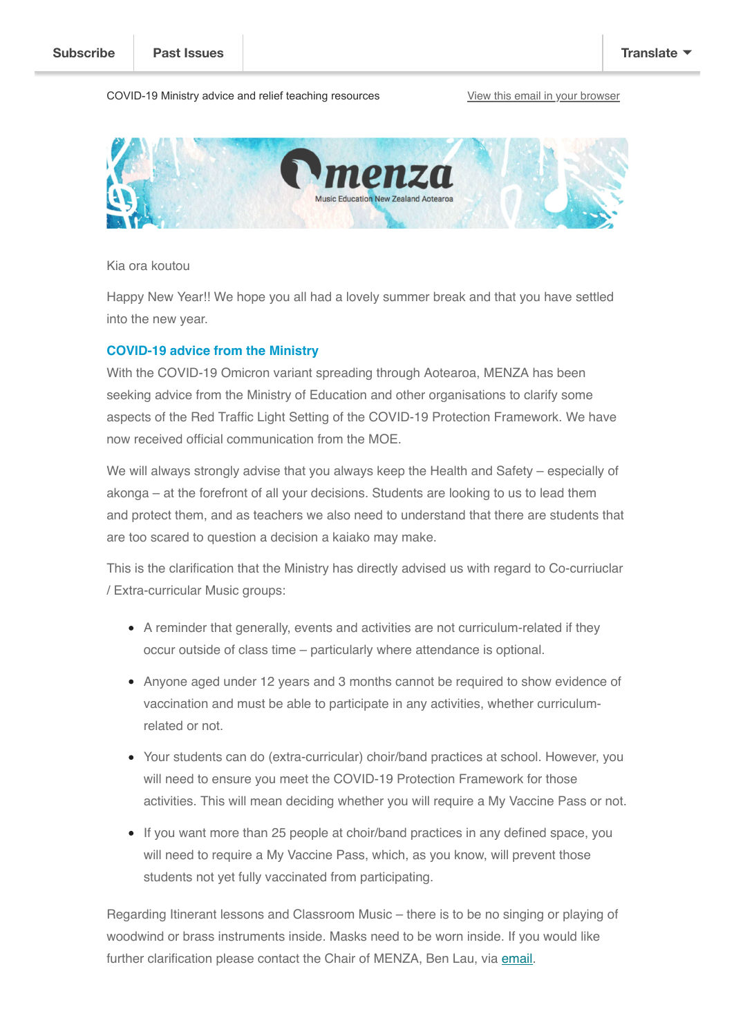### COVID-19 Ministry advice and relief teaching resources [View this email in your browser](https://mailchi.mp/5ea2aa7ec19a/covid-19-ministry-advice-and-relief-teaching-resources?e=[UNIQID])



Kia ora koutou

Happy New Year!! We hope you all had a lovely summer break and that you have settled into the new year.

### **COVID-19 advice from the Ministry**

With the COVID-19 Omicron variant spreading through Aotearoa, MENZA has been seeking advice from the Ministry of Education and other organisations to clarify some aspects of the Red Traffic Light Setting of the COVID-19 Protection Framework. We have now received official communication from the MOE.

We will always strongly advise that you always keep the Health and Safety – especially of akonga – at the forefront of all your decisions. Students are looking to us to lead them and protect them, and as teachers we also need to understand that there are students that are too scared to question a decision a kaiako may make.

This is the clarification that the Ministry has directly advised us with regard to Co-curriuclar / Extra-curricular Music groups:

- A reminder that generally, events and activities are not curriculum-related if they occur outside of class time – particularly where attendance is optional.
- Anyone aged under 12 years and 3 months cannot be required to show evidence of vaccination and must be able to participate in any activities, whether curriculumrelated or not.
- Your students can do (extra-curricular) choir/band practices at school. However, you will need to ensure you meet the COVID-19 Protection Framework for those activities. This will mean deciding whether you will require a My Vaccine Pass or not.
- If you want more than 25 people at choir/band practices in any defined space, you will need to require a My Vaccine Pass, which, as you know, will prevent those students not yet fully vaccinated from participating.

Regarding Itinerant lessons and Classroom Music – there is to be no singing or playing of woodwind or brass instruments inside. Masks need to be worn inside. If you would like further clarification please contact the Chair of MENZA, Ben Lau, via [email.](mailto:blau@newlands.school.nz)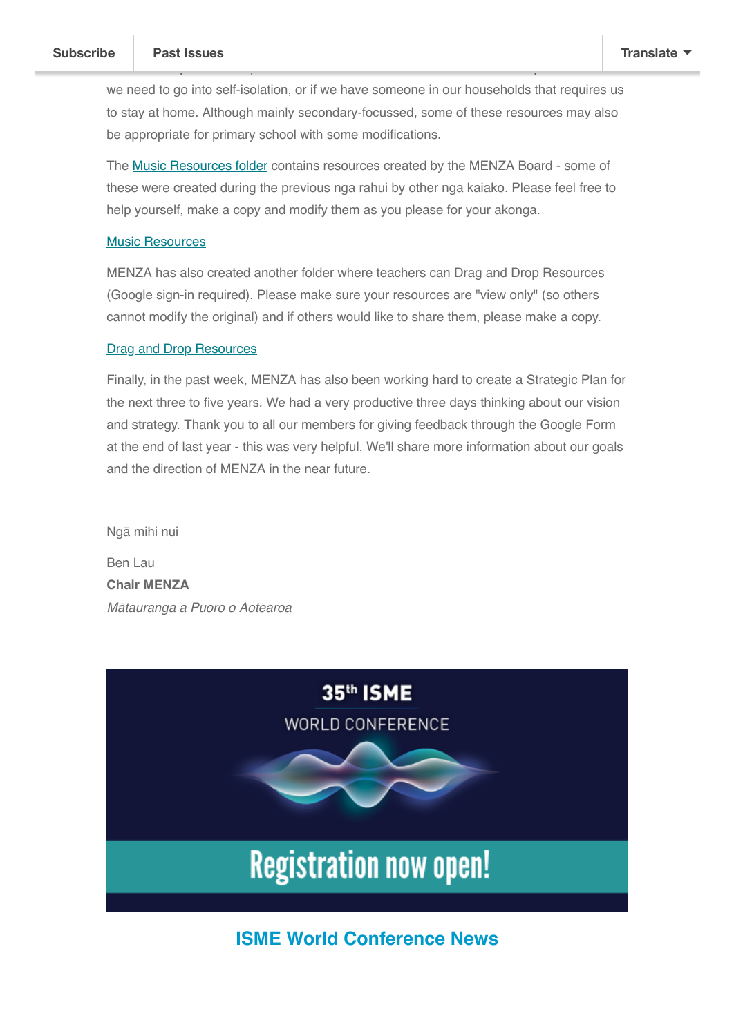we need to go into self-isolation, or if we have someone in our households that requires us to stay at home. Although mainly secondary-focussed, some of these resources may also be appropriate for primary school with some modifications.

MENZA has provided a space for music teachers to share resources to help each other if

The [Music Resources folder](https://drive.google.com/drive/folders/1SlbrQxU_E-7s1hPkU2HEgGU5H1wWb8xT) contains resources created by the MENZA Board - some of these were created during the previous nga rahui by other nga kaiako. Please feel free to help yourself, make a copy and modify them as you please for your akonga.

### [Music Resources](https://drive.google.com/drive/folders/1SlbrQxU_E-7s1hPkU2HEgGU5H1wWb8xT)

MENZA has also created another folder where teachers can Drag and Drop Resources (Google sign-in required). Please make sure your resources are "view only" (so others cannot modify the original) and if others would like to share them, please make a copy.

### **[Drag and Drop Resources](https://drive.google.com/drive/folders/1Z5Eu41eR5gs6oezP9HbJwJUcc89V8K0k)**

Finally, in the past week, MENZA has also been working hard to create a Strategic Plan for the next three to five years. We had a very productive three days thinking about our vision and strategy. Thank you to all our members for giving feedback through the Google Form at the end of last year - this was very helpful. We'll share more information about our goals and the direction of MENZA in the near future.

Ngā mihi nui

Ben Lau **Chair MENZA** *Mātauranga a Puoro o Aotearoa*



# **ISME World Conference News**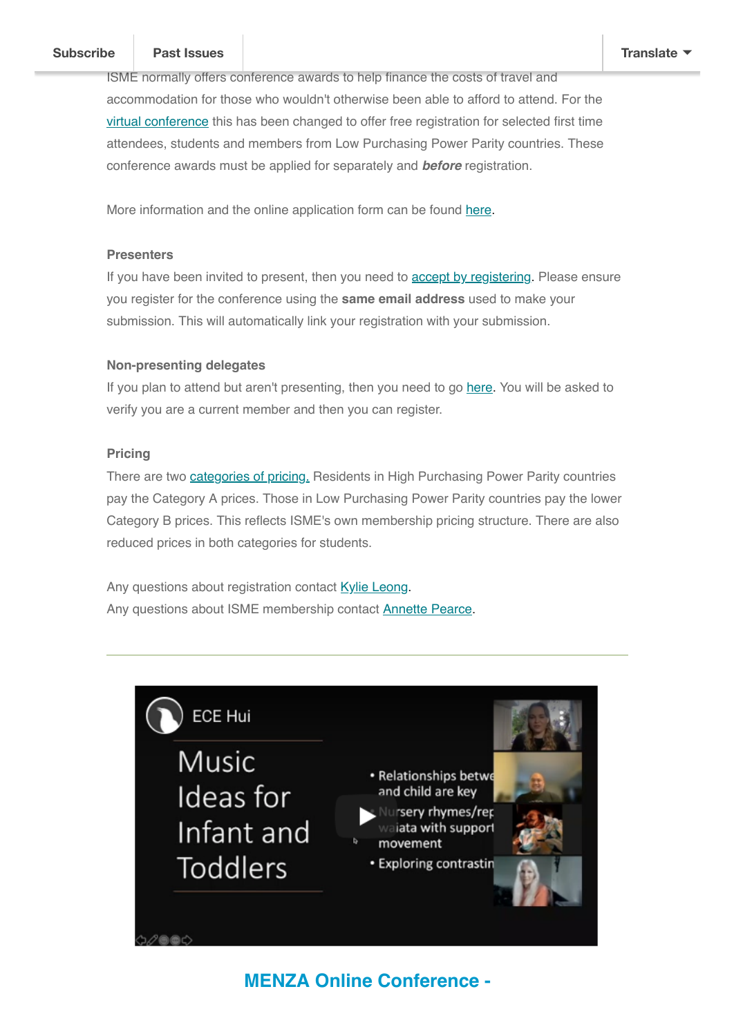### *The [35th ISME World C](https://us10.campaign-archive.com/home/?u=73fe2da9ea28d1d53d2edfa37&id=c592d18b77)onference is in Brisbane, Australia from 17-22 July 2022***. [Subscribe](http://eepurl.com/bgtq9H) Past Issues [Translate](javascript:;)**

ISME normally offers conference awards to help finance the costs of travel and accommodation for those who wouldn't otherwise been able to afford to attend. For the [virtual conference](https://ismeworldconference.org/virtual-conference/) this has been changed to offer free registration for selected first time attendees, students and members from Low Purchasing Power Parity countries. These conference awards must be applied for separately and *before* registration.

More information and the online application form can be found [here](https://isme.us4.list-manage.com/track/click?u=d1abbe410830fdafc52618f35&id=c37a050ed3&e=4920fa6ec2).

### **Presenters**

If you have been invited to present, then you need to **accept by registering**. Please ensure you register for the conference using the **same email address** used to make your submission. This will automatically link your registration with your submission.

## **Non-presenting delegates**

If you plan to attend but aren't presenting, then you need to go [here.](https://isme.us4.list-manage.com/track/click?u=d1abbe410830fdafc52618f35&id=a729879271&e=4920fa6ec2) You will be asked to verify you are a current member and then you can register.

## **Pricing**

There are two *categories of pricing*. Residents in High Purchasing Power Parity countries pay the Category A prices. Those in Low Purchasing Power Parity countries pay the lower Category B prices. This reflects ISME's own membership pricing structure. There are also reduced prices in both categories for students.

Any questions about registration contact **[Kylie Leong](mailto:program@ismeworldconference.org?subject=Registration%20question%20for%20ISME%20World%20Conference).** Any questions about ISME membership contact **Annette Pearce**.



# **MENZA Online Conference -**